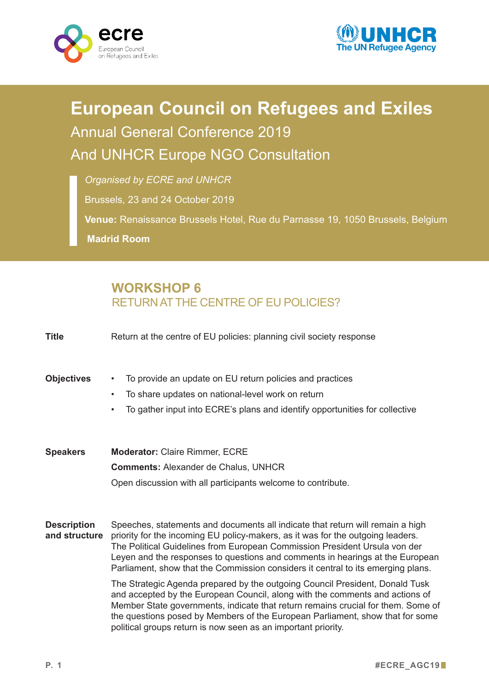



## **European Council on Refugees and Exiles** Annual General Conference 2019 And UNHCR Europe NGO Consultation

*Organised by ECRE and UNHCR*

Brussels, 23 and 24 October 2019

**Venue:** Renaissance Brussels Hotel, Rue du Parnasse 19, 1050 Brussels, Belgium **Madrid Room**

## **WORKSHOP 6** RETURNAT THE CENTRE OF EU POLICIES?

| <b>Title</b>                        | Return at the centre of EU policies: planning civil society response                                                                                                                                                                                                                                                                                                                                                                                                                                                                                                                                                                                                                                                                                                                                                       |
|-------------------------------------|----------------------------------------------------------------------------------------------------------------------------------------------------------------------------------------------------------------------------------------------------------------------------------------------------------------------------------------------------------------------------------------------------------------------------------------------------------------------------------------------------------------------------------------------------------------------------------------------------------------------------------------------------------------------------------------------------------------------------------------------------------------------------------------------------------------------------|
| <b>Objectives</b>                   | To provide an update on EU return policies and practices<br>$\bullet$<br>To share updates on national-level work on return<br>$\bullet$<br>To gather input into ECRE's plans and identify opportunities for collective<br>$\bullet$                                                                                                                                                                                                                                                                                                                                                                                                                                                                                                                                                                                        |
| <b>Speakers</b>                     | <b>Moderator: Claire Rimmer, ECRE</b><br><b>Comments: Alexander de Chalus, UNHCR</b><br>Open discussion with all participants welcome to contribute.                                                                                                                                                                                                                                                                                                                                                                                                                                                                                                                                                                                                                                                                       |
| <b>Description</b><br>and structure | Speeches, statements and documents all indicate that return will remain a high<br>priority for the incoming EU policy-makers, as it was for the outgoing leaders.<br>The Political Guidelines from European Commission President Ursula von der<br>Leyen and the responses to questions and comments in hearings at the European<br>Parliament, show that the Commission considers it central to its emerging plans.<br>The Strategic Agenda prepared by the outgoing Council President, Donald Tusk<br>and accepted by the European Council, along with the comments and actions of<br>Member State governments, indicate that return remains crucial for them. Some of<br>the questions posed by Members of the European Parliament, show that for some<br>political groups return is now seen as an important priority. |